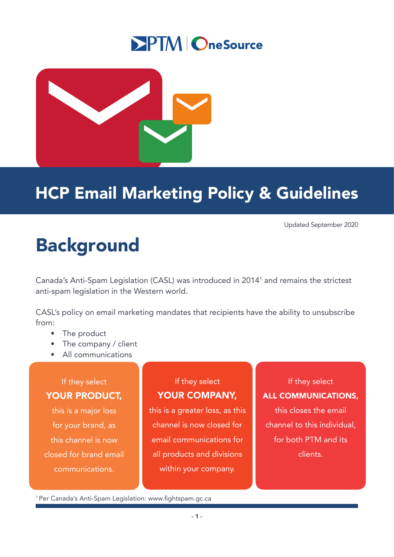## **SPTM OneSource**



## HCP Email Marketing Policy & Guidelines

Updated September 2020

# Background

Canada's Anti-Spam Legislation (CASL) was introduced in 20141 and remains the strictest anti-spam legislation in the Western world.

CASL's policy on email marketing mandates that recipients have the ability to unsubscribe from:

- The product
- The company / client
- All communications

## If they select YOUR PRODUCT,

this is a major loss for your brand, as this channel is now closed for brand email communications.

## If they select YOUR COMPANY,

this is a greater loss, as this channel is now closed for email communications for all products and divisions within your company.

## If they select

#### ALL COMMUNICATIONS,

this closes the email channel to this individual, for both PTM and its clients.

<sup>1</sup>Per Canada's Anti-Spam Legislation: www.fightspam.gc.ca

- 1 -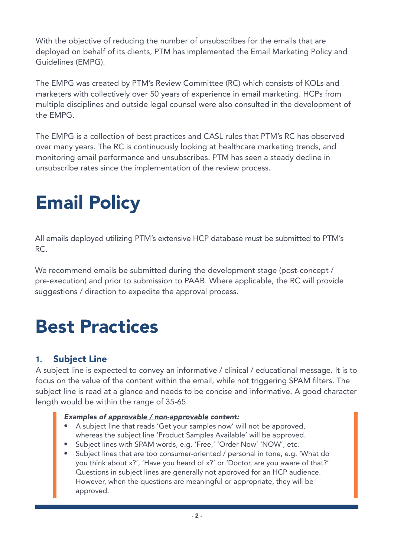With the objective of reducing the number of unsubscribes for the emails that are deployed on behalf of its clients, PTM has implemented the Email Marketing Policy and Guidelines (EMPG).

The EMPG was created by PTM's Review Committee (RC) which consists of KOLs and marketers with collectively over 50 years of experience in email marketing. HCPs from multiple disciplines and outside legal counsel were also consulted in the development of the EMPG.

The EMPG is a collection of best practices and CASL rules that PTM's RC has observed over many years. The RC is continuously looking at healthcare marketing trends, and monitoring email performance and unsubscribes. PTM has seen a steady decline in unsubscribe rates since the implementation of the review process.

# Email Policy

All emails deployed utilizing PTM's extensive HCP database must be submitted to PTM's RC.

We recommend emails be submitted during the development stage (post-concept / pre-execution) and prior to submission to PAAB. Where applicable, the RC will provide suggestions / direction to expedite the approval process.

## Best Practices

## **1.** Subject Line

A subject line is expected to convey an informative / clinical / educational message. It is to focus on the value of the content within the email, while not triggering SPAM filters. The subject line is read at a glance and needs to be concise and informative. A good character length would be within the range of 35-65.

#### *Examples of approvable / non-approvable content:*

- A subject line that reads 'Get your samples now' will not be approved, whereas the subject line 'Product Samples Available' will be approved.
- Subject lines with SPAM words, e.g. 'Free,' 'Order Now' 'NOW', etc.
- Subject lines that are too consumer-oriented / personal in tone, e.g. 'What do you think about x?', 'Have you heard of x?' or 'Doctor, are you aware of that?' Questions in subject lines are generally not approved for an HCP audience. However, when the questions are meaningful or appropriate, they will be approved.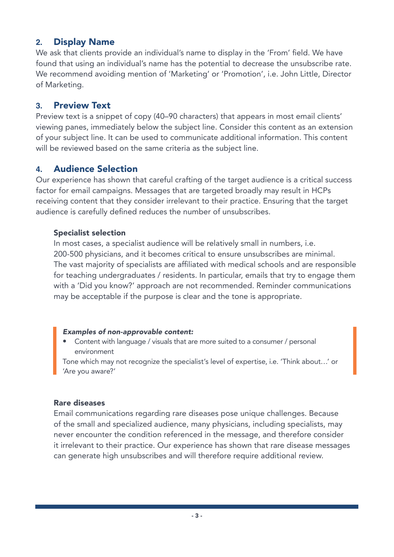## **2.** Display Name

We ask that clients provide an individual's name to display in the 'From' field. We have found that using an individual's name has the potential to decrease the unsubscribe rate. We recommend avoiding mention of 'Marketing' or 'Promotion', i.e. John Little, Director of Marketing.

#### **3.** Preview Text

Preview text is a snippet of copy (40–90 characters) that appears in most email clients' viewing panes, immediately below the subject line. Consider this content as an extension of your subject line. It can be used to communicate additional information. This content will be reviewed based on the same criteria as the subject line.

#### **4.** Audience Selection

Our experience has shown that careful crafting of the target audience is a critical success factor for email campaigns. Messages that are targeted broadly may result in HCPs receiving content that they consider irrelevant to their practice. Ensuring that the target audience is carefully defined reduces the number of unsubscribes.

#### Specialist selection

In most cases, a specialist audience will be relatively small in numbers, i.e. 200-500 physicians, and it becomes critical to ensure unsubscribes are minimal. The vast majority of specialists are affiliated with medical schools and are responsible for teaching undergraduates / residents. In particular, emails that try to engage them with a 'Did you know?' approach are not recommended. Reminder communications may be acceptable if the purpose is clear and the tone is appropriate.

#### *Examples of non-approvable content:*

• Content with language / visuals that are more suited to a consumer / personal environment

Tone which may not recognize the specialist's level of expertise, i.e. 'Think about…' or 'Are you aware?'

#### Rare diseases

Email communications regarding rare diseases pose unique challenges. Because of the small and specialized audience, many physicians, including specialists, may never encounter the condition referenced in the message, and therefore consider it irrelevant to their practice. Our experience has shown that rare disease messages can generate high unsubscribes and will therefore require additional review.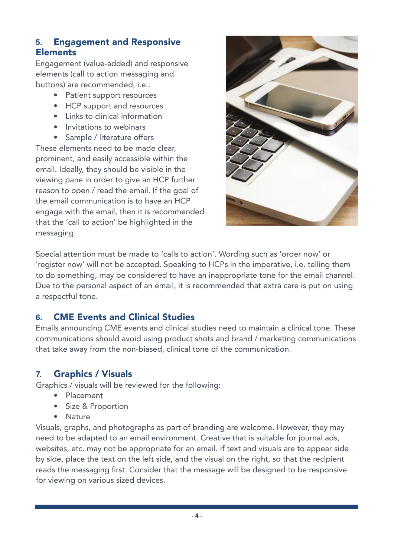## **5.** Engagement and Responsive **Elements**

Engagement (value-added) and responsive elements (call to action messaging and buttons) are recommended, i.e.:

- Patient support resources
- HCP support and resources
- Links to clinical information
- Invitations to webinars
- Sample / literature offers

These elements need to be made clear, prominent, and easily accessible within the email. Ideally, they should be visible in the viewing pane in order to give an HCP further reason to open / read the email. If the goal of the email communication is to have an HCP engage with the email, then it is recommended that the 'call to action' be highlighted in the messaging.



Special attention must be made to 'calls to action'. Wording such as 'order now' or 'register now' will not be accepted. Speaking to HCPs in the imperative, i.e. telling them to do something, may be considered to have an inappropriate tone for the email channel. Due to the personal aspect of an email, it is recommended that extra care is put on using a respectful tone.

## **6.** CME Events and Clinical Studies

Emails announcing CME events and clinical studies need to maintain a clinical tone. These communications should avoid using product shots and brand / marketing communications that take away from the non-biased, clinical tone of the communication.

## **7.** Graphics / Visuals

Graphics / visuals will be reviewed for the following:

- Placement
- Size & Proportion
- Nature

Visuals, graphs, and photographs as part of branding are welcome. However, they may need to be adapted to an email environment. Creative that is suitable for journal ads, websites, etc. may not be appropriate for an email. If text and visuals are to appear side by side, place the text on the left side, and the visual on the right, so that the recipient reads the messaging first. Consider that the message will be designed to be responsive for viewing on various sized devices.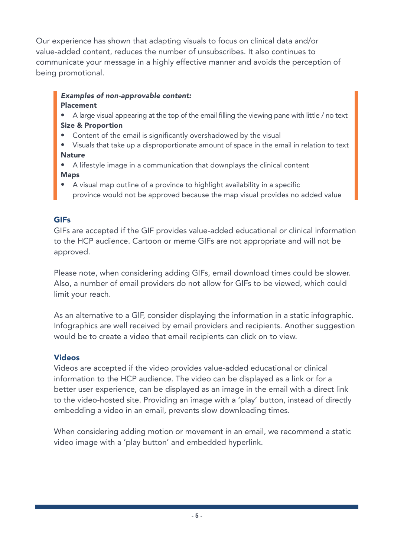Our experience has shown that adapting visuals to focus on clinical data and/or value-added content, reduces the number of unsubscribes. It also continues to communicate your message in a highly effective manner and avoids the perception of being promotional.

#### *Examples of non-approvable content:* Placement

- A large visual appearing at the top of the email filling the viewing pane with little / no text Size & Proportion
- Content of the email is significantly overshadowed by the visual
- Visuals that take up a disproportionate amount of space in the email in relation to text **Nature**
- A lifestyle image in a communication that downplays the clinical content Maps
- A visual map outline of a province to highlight availability in a specific province would not be approved because the map visual provides no added value

#### **GIFs**

GIFs are accepted if the GIF provides value-added educational or clinical information to the HCP audience. Cartoon or meme GIFs are not appropriate and will not be approved.

Please note, when considering adding GIFs, email download times could be slower. Also, a number of email providers do not allow for GIFs to be viewed, which could limit your reach.

As an alternative to a GIF, consider displaying the information in a static infographic. Infographics are well received by email providers and recipients. Another suggestion would be to create a video that email recipients can click on to view.

#### Videos

Videos are accepted if the video provides value-added educational or clinical information to the HCP audience. The video can be displayed as a link or for a better user experience, can be displayed as an image in the email with a direct link to the video-hosted site. Providing an image with a 'play' button, instead of directly embedding a video in an email, prevents slow downloading times.

When considering adding motion or movement in an email, we recommend a static video image with a 'play button' and embedded hyperlink.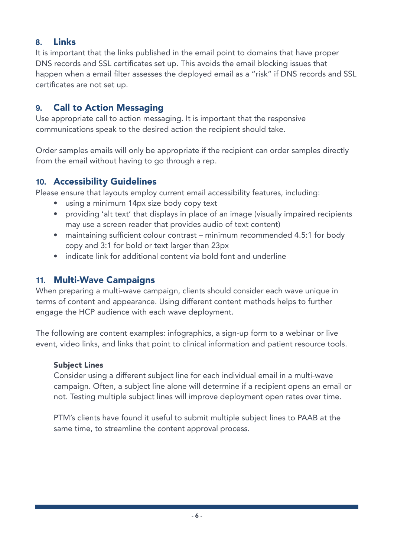## **8.** Links

It is important that the links published in the email point to domains that have proper DNS records and SSL certificates set up. This avoids the email blocking issues that happen when a email filter assesses the deployed email as a "risk" if DNS records and SSL certificates are not set up.

## **9.** Call to Action Messaging

Use appropriate call to action messaging. It is important that the responsive communications speak to the desired action the recipient should take.

Order samples emails will only be appropriate if the recipient can order samples directly from the email without having to go through a rep.

## **10.** Accessibility Guidelines

Please ensure that layouts employ current email accessibility features, including:

- using a minimum 14px size body copy text
- providing 'alt text' that displays in place of an image (visually impaired recipients may use a screen reader that provides audio of text content)
- maintaining sufficient colour contrast minimum recommended 4.5:1 for body copy and 3:1 for bold or text larger than 23px
- indicate link for additional content via bold font and underline

## **11.** Multi-Wave Campaigns

When preparing a multi-wave campaign, clients should consider each wave unique in terms of content and appearance. Using different content methods helps to further engage the HCP audience with each wave deployment.

The following are content examples: infographics, a sign-up form to a webinar or live event, video links, and links that point to clinical information and patient resource tools.

#### Subject Lines

Consider using a different subject line for each individual email in a multi-wave campaign. Often, a subject line alone will determine if a recipient opens an email or not. Testing multiple subject lines will improve deployment open rates over time.

PTM's clients have found it useful to submit multiple subject lines to PAAB at the same time, to streamline the content approval process.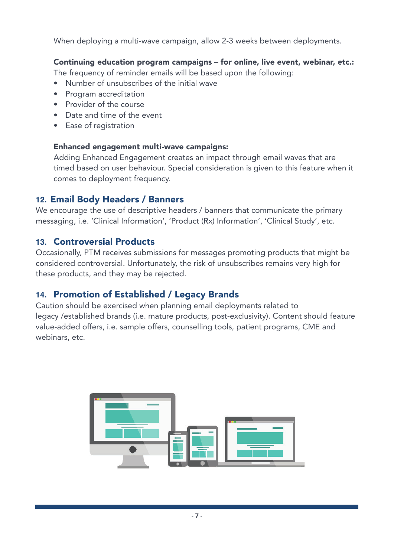When deploying a multi-wave campaign, allow 2-3 weeks between deployments.

Continuing education program campaigns – for online, live event, webinar, etc.:

The frequency of reminder emails will be based upon the following:

- Number of unsubscribes of the initial wave
- Program accreditation
- Provider of the course
- Date and time of the event
- Ease of registration

#### Enhanced engagement multi-wave campaigns:

Adding Enhanced Engagement creates an impact through email waves that are timed based on user behaviour. Special consideration is given to this feature when it comes to deployment frequency.

## **12.** Email Body Headers / Banners

We encourage the use of descriptive headers / banners that communicate the primary messaging, i.e. 'Clinical Information', 'Product (Rx) Information', 'Clinical Study', etc.

## **13.** Controversial Products

Occasionally, PTM receives submissions for messages promoting products that might be considered controversial. Unfortunately, the risk of unsubscribes remains very high for these products, and they may be rejected.

## **14.** Promotion of Established / Legacy Brands

Caution should be exercised when planning email deployments related to legacy /established brands (i.e. mature products, post-exclusivity). Content should feature value-added offers, i.e. sample offers, counselling tools, patient programs, CME and webinars, etc.